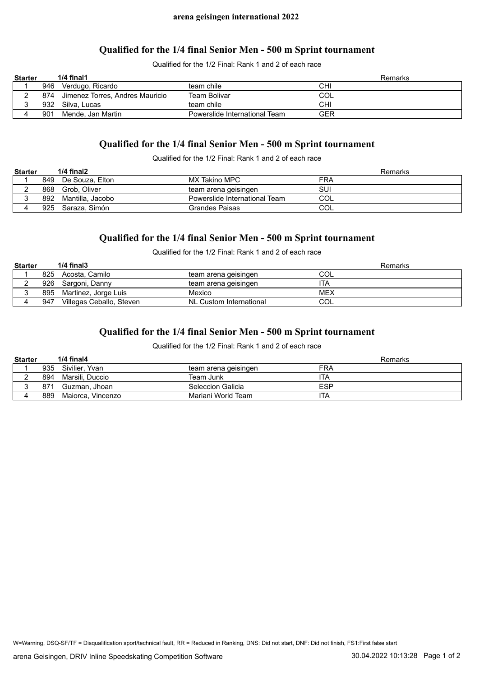#### **Qualified for the 1/4 final Senior Men - 500 m Sprint tournament**

Qualified for the 1/2 Final: Rank 1 and 2 of each race

| <b>Starter</b> |     | $1/4$ final1                        |                               | Remarks |
|----------------|-----|-------------------------------------|-------------------------------|---------|
|                |     | 946 Verdugo, Ricardo                | team chile                    | CHI     |
|                |     | 874 Jimenez Torres, Andres Mauricio | <b>Team Bolivar</b>           | COL     |
|                | 932 | Silva. Lucas                        | team chile                    | CHI     |
|                | 901 | Mende, Jan Martin                   | Powerslide International Team | GER     |

# **Qualified for the 1/4 final Senior Men - 500 m Sprint tournament**

Qualified for the 1/2 Final: Rank 1 and 2 of each race

| <b>Starter</b> |     | $1/4$ final $2$   |                               | Remarks |
|----------------|-----|-------------------|-------------------------------|---------|
|                | 849 | De Souza. Elton   | MX Takino MPC                 | FRA     |
|                | 868 | Grob, Oliver      | team arena geisingen          | SUI     |
|                | 892 | Mantilla, Jacobo  | Powerslide International Team | COL     |
|                |     | 925 Saraza, Simón | Grandes Paisas                | COL     |

# **Qualified for the 1/4 final Senior Men - 500 m Sprint tournament**

Qualified for the 1/2 Final: Rank 1 and 2 of each race

| <b>Starter</b> |     | $1/4$ final $3$          |                         | Remarks |
|----------------|-----|--------------------------|-------------------------|---------|
|                | 825 | Acosta. Camilo           | team arena geisingen    | COL     |
|                |     | 926 Sargoni, Danny       | team arena geisingen    | ITA     |
|                |     | 895 Martinez, Jorge Luis | Mexico                  | MEX     |
|                | 947 | Villegas Ceballo, Steven | NL Custom International | COL     |

# **Qualified for the 1/4 final Senior Men - 500 m Sprint tournament**

Qualified for the 1/2 Final: Rank 1 and 2 of each race

| <b>Starter</b> |     | $1/4$ final $4$    |                      | Remarks    |
|----------------|-----|--------------------|----------------------|------------|
|                |     | 935 Sivilier, Yvan | team arena geisingen | FRA        |
|                | 894 | Marsili. Duccio    | Team Junk            | ITA        |
|                | 871 | Guzman. Jhoan      | Seleccion Galicia    | <b>ESP</b> |
|                | 889 | Maiorca, Vincenzo  | Mariani World Team   | ita        |